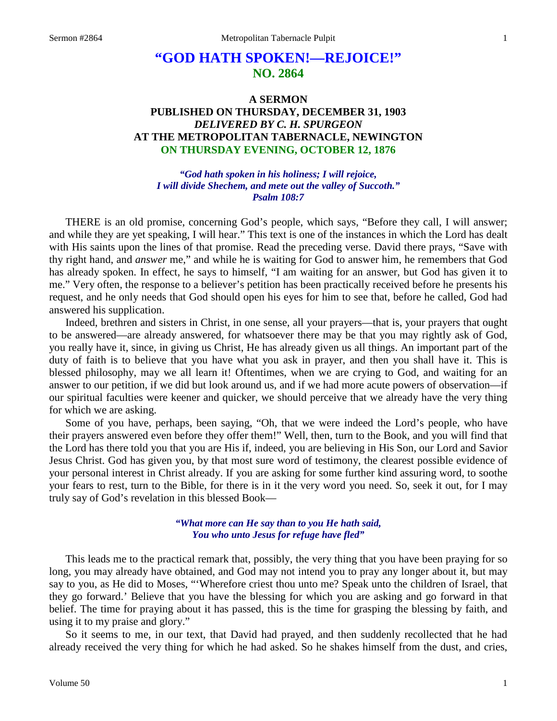# **"GOD HATH SPOKEN!—REJOICE!" NO. 2864**

# **A SERMON PUBLISHED ON THURSDAY, DECEMBER 31, 1903** *DELIVERED BY C. H. SPURGEON* **AT THE METROPOLITAN TABERNACLE, NEWINGTON ON THURSDAY EVENING, OCTOBER 12, 1876**

*"God hath spoken in his holiness; I will rejoice, I will divide Shechem, and mete out the valley of Succoth." Psalm 108:7*

THERE is an old promise, concerning God's people, which says, "Before they call, I will answer; and while they are yet speaking, I will hear." This text is one of the instances in which the Lord has dealt with His saints upon the lines of that promise. Read the preceding verse. David there prays, "Save with thy right hand, and *answer* me," and while he is waiting for God to answer him, he remembers that God has already spoken. In effect, he says to himself, "I am waiting for an answer, but God has given it to me." Very often, the response to a believer's petition has been practically received before he presents his request, and he only needs that God should open his eyes for him to see that, before he called, God had answered his supplication.

Indeed, brethren and sisters in Christ, in one sense, all your prayers—that is, your prayers that ought to be answered—are already answered, for whatsoever there may be that you may rightly ask of God, you really have it, since, in giving us Christ, He has already given us all things. An important part of the duty of faith is to believe that you have what you ask in prayer, and then you shall have it. This is blessed philosophy, may we all learn it! Oftentimes, when we are crying to God, and waiting for an answer to our petition, if we did but look around us, and if we had more acute powers of observation—if our spiritual faculties were keener and quicker, we should perceive that we already have the very thing for which we are asking.

Some of you have, perhaps, been saying, "Oh, that we were indeed the Lord's people, who have their prayers answered even before they offer them!" Well, then, turn to the Book, and you will find that the Lord has there told you that you are His if, indeed, you are believing in His Son, our Lord and Savior Jesus Christ. God has given you, by that most sure word of testimony, the clearest possible evidence of your personal interest in Christ already. If you are asking for some further kind assuring word, to soothe your fears to rest, turn to the Bible, for there is in it the very word you need. So, seek it out, for I may truly say of God's revelation in this blessed Book—

## *"What more can He say than to you He hath said, You who unto Jesus for refuge have fled"*

This leads me to the practical remark that, possibly, the very thing that you have been praying for so long, you may already have obtained, and God may not intend you to pray any longer about it, but may say to you, as He did to Moses, "'Wherefore criest thou unto me? Speak unto the children of Israel, that they go forward.' Believe that you have the blessing for which you are asking and go forward in that belief. The time for praying about it has passed, this is the time for grasping the blessing by faith, and using it to my praise and glory."

So it seems to me, in our text, that David had prayed, and then suddenly recollected that he had already received the very thing for which he had asked. So he shakes himself from the dust, and cries,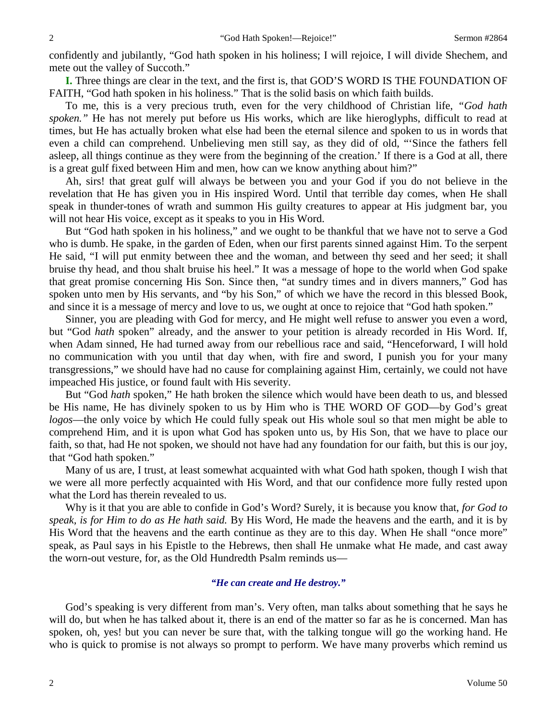confidently and jubilantly, "God hath spoken in his holiness; I will rejoice, I will divide Shechem, and mete out the valley of Succoth."

**I.** Three things are clear in the text, and the first is, that GOD'S WORD IS THE FOUNDATION OF FAITH, "God hath spoken in his holiness." That is the solid basis on which faith builds.

To me, this is a very precious truth, even for the very childhood of Christian life, *"God hath spoken."* He has not merely put before us His works, which are like hieroglyphs, difficult to read at times, but He has actually broken what else had been the eternal silence and spoken to us in words that even a child can comprehend. Unbelieving men still say, as they did of old, "'Since the fathers fell asleep, all things continue as they were from the beginning of the creation.' If there is a God at all, there is a great gulf fixed between Him and men, how can we know anything about him?"

Ah, sirs! that great gulf will always be between you and your God if you do not believe in the revelation that He has given you in His inspired Word. Until that terrible day comes, when He shall speak in thunder-tones of wrath and summon His guilty creatures to appear at His judgment bar, you will not hear His voice, except as it speaks to you in His Word.

But "God hath spoken in his holiness," and we ought to be thankful that we have not to serve a God who is dumb. He spake, in the garden of Eden, when our first parents sinned against Him. To the serpent He said, "I will put enmity between thee and the woman, and between thy seed and her seed; it shall bruise thy head, and thou shalt bruise his heel." It was a message of hope to the world when God spake that great promise concerning His Son. Since then, "at sundry times and in divers manners," God has spoken unto men by His servants, and "by his Son," of which we have the record in this blessed Book, and since it is a message of mercy and love to us, we ought at once to rejoice that "God hath spoken."

Sinner, you are pleading with God for mercy, and He might well refuse to answer you even a word, but "God *hath* spoken" already, and the answer to your petition is already recorded in His Word. If, when Adam sinned, He had turned away from our rebellious race and said, "Henceforward, I will hold no communication with you until that day when, with fire and sword, I punish you for your many transgressions," we should have had no cause for complaining against Him, certainly, we could not have impeached His justice, or found fault with His severity.

But "God *hath* spoken," He hath broken the silence which would have been death to us, and blessed be His name, He has divinely spoken to us by Him who is THE WORD OF GOD—by God's great *logos*—the only voice by which He could fully speak out His whole soul so that men might be able to comprehend Him, and it is upon what God has spoken unto us, by His Son, that we have to place our faith, so that, had He not spoken, we should not have had any foundation for our faith, but this is our joy, that "God hath spoken."

Many of us are, I trust, at least somewhat acquainted with what God hath spoken, though I wish that we were all more perfectly acquainted with His Word, and that our confidence more fully rested upon what the Lord has therein revealed to us.

Why is it that you are able to confide in God's Word? Surely, it is because you know that, *for God to speak, is for Him to do as He hath said.* By His Word, He made the heavens and the earth, and it is by His Word that the heavens and the earth continue as they are to this day. When He shall "once more" speak, as Paul says in his Epistle to the Hebrews, then shall He unmake what He made, and cast away the worn-out vesture, for, as the Old Hundredth Psalm reminds us—

## *"He can create and He destroy."*

God's speaking is very different from man's. Very often, man talks about something that he says he will do, but when he has talked about it, there is an end of the matter so far as he is concerned. Man has spoken, oh, yes! but you can never be sure that, with the talking tongue will go the working hand. He who is quick to promise is not always so prompt to perform. We have many proverbs which remind us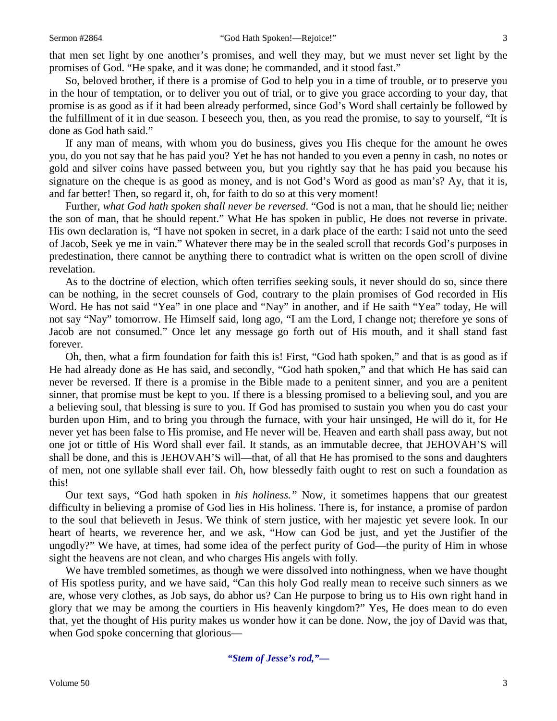that men set light by one another's promises, and well they may, but we must never set light by the promises of God. "He spake, and it was done; he commanded, and it stood fast."

So, beloved brother, if there is a promise of God to help you in a time of trouble, or to preserve you in the hour of temptation, or to deliver you out of trial, or to give you grace according to your day, that promise is as good as if it had been already performed, since God's Word shall certainly be followed by the fulfillment of it in due season. I beseech you, then, as you read the promise, to say to yourself, "It is done as God hath said."

If any man of means, with whom you do business, gives you His cheque for the amount he owes you, do you not say that he has paid you? Yet he has not handed to you even a penny in cash, no notes or gold and silver coins have passed between you, but you rightly say that he has paid you because his signature on the cheque is as good as money, and is not God's Word as good as man's? Ay, that it is, and far better! Then, so regard it, oh, for faith to do so at this very moment!

Further, *what God hath spoken shall never be reversed*. "God is not a man, that he should lie; neither the son of man, that he should repent." What He has spoken in public, He does not reverse in private. His own declaration is, "I have not spoken in secret, in a dark place of the earth: I said not unto the seed of Jacob, Seek ye me in vain." Whatever there may be in the sealed scroll that records God's purposes in predestination, there cannot be anything there to contradict what is written on the open scroll of divine revelation.

As to the doctrine of election, which often terrifies seeking souls, it never should do so, since there can be nothing, in the secret counsels of God, contrary to the plain promises of God recorded in His Word. He has not said "Yea" in one place and "Nay" in another, and if He saith "Yea" today, He will not say "Nay" tomorrow. He Himself said, long ago, "I am the Lord, I change not; therefore ye sons of Jacob are not consumed." Once let any message go forth out of His mouth, and it shall stand fast forever.

Oh, then, what a firm foundation for faith this is! First, "God hath spoken," and that is as good as if He had already done as He has said, and secondly, "God hath spoken," and that which He has said can never be reversed. If there is a promise in the Bible made to a penitent sinner, and you are a penitent sinner, that promise must be kept to you. If there is a blessing promised to a believing soul, and you are a believing soul, that blessing is sure to you. If God has promised to sustain you when you do cast your burden upon Him, and to bring you through the furnace, with your hair unsinged, He will do it, for He never yet has been false to His promise, and He never will be. Heaven and earth shall pass away, but not one jot or tittle of His Word shall ever fail. It stands, as an immutable decree, that JEHOVAH'S will shall be done, and this is JEHOVAH'S will—that, of all that He has promised to the sons and daughters of men, not one syllable shall ever fail. Oh, how blessedly faith ought to rest on such a foundation as this!

Our text says, "God hath spoken in *his holiness."* Now, it sometimes happens that our greatest difficulty in believing a promise of God lies in His holiness. There is, for instance, a promise of pardon to the soul that believeth in Jesus. We think of stern justice, with her majestic yet severe look. In our heart of hearts, we reverence her, and we ask, "How can God be just, and yet the Justifier of the ungodly?" We have, at times, had some idea of the perfect purity of God—the purity of Him in whose sight the heavens are not clean, and who charges His angels with folly.

We have trembled sometimes, as though we were dissolved into nothingness, when we have thought of His spotless purity, and we have said, "Can this holy God really mean to receive such sinners as we are, whose very clothes, as Job says, do abhor us? Can He purpose to bring us to His own right hand in glory that we may be among the courtiers in His heavenly kingdom?" Yes, He does mean to do even that, yet the thought of His purity makes us wonder how it can be done. Now, the joy of David was that, when God spoke concerning that glorious—

*"Stem of Jesse's rod,"—*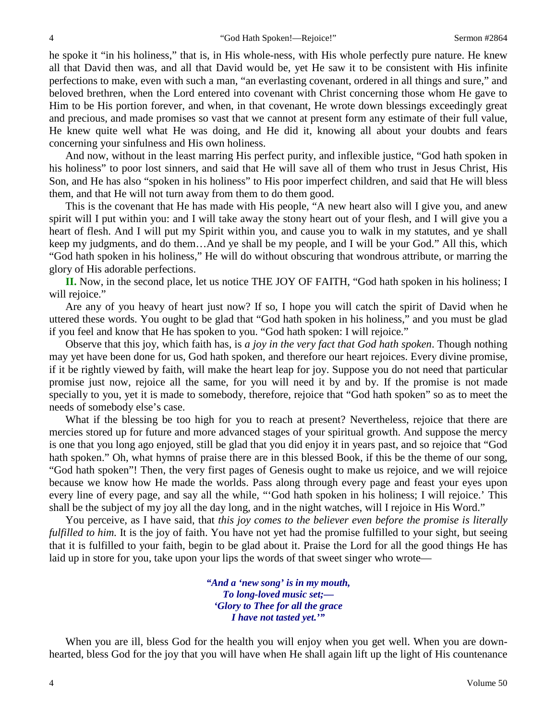he spoke it "in his holiness," that is, in His whole-ness, with His whole perfectly pure nature. He knew all that David then was, and all that David would be, yet He saw it to be consistent with His infinite perfections to make, even with such a man, "an everlasting covenant, ordered in all things and sure," and beloved brethren, when the Lord entered into covenant with Christ concerning those whom He gave to Him to be His portion forever, and when, in that covenant, He wrote down blessings exceedingly great and precious, and made promises so vast that we cannot at present form any estimate of their full value, He knew quite well what He was doing, and He did it, knowing all about your doubts and fears concerning your sinfulness and His own holiness.

And now, without in the least marring His perfect purity, and inflexible justice, "God hath spoken in his holiness" to poor lost sinners, and said that He will save all of them who trust in Jesus Christ, His Son, and He has also "spoken in his holiness" to His poor imperfect children, and said that He will bless them, and that He will not turn away from them to do them good.

This is the covenant that He has made with His people, "A new heart also will I give you, and anew spirit will I put within you: and I will take away the stony heart out of your flesh, and I will give you a heart of flesh. And I will put my Spirit within you, and cause you to walk in my statutes, and ye shall keep my judgments, and do them…And ye shall be my people, and I will be your God." All this, which "God hath spoken in his holiness," He will do without obscuring that wondrous attribute, or marring the glory of His adorable perfections.

**II.** Now, in the second place, let us notice THE JOY OF FAITH, "God hath spoken in his holiness; I will rejoice."

Are any of you heavy of heart just now? If so, I hope you will catch the spirit of David when he uttered these words. You ought to be glad that "God hath spoken in his holiness," and you must be glad if you feel and know that He has spoken to you. "God hath spoken: I will rejoice."

Observe that this joy, which faith has, is *a joy in the very fact that God hath spoken*. Though nothing may yet have been done for us, God hath spoken, and therefore our heart rejoices. Every divine promise, if it be rightly viewed by faith, will make the heart leap for joy. Suppose you do not need that particular promise just now, rejoice all the same, for you will need it by and by. If the promise is not made specially to you, yet it is made to somebody, therefore, rejoice that "God hath spoken" so as to meet the needs of somebody else's case.

What if the blessing be too high for you to reach at present? Nevertheless, rejoice that there are mercies stored up for future and more advanced stages of your spiritual growth. And suppose the mercy is one that you long ago enjoyed, still be glad that you did enjoy it in years past, and so rejoice that "God hath spoken." Oh, what hymns of praise there are in this blessed Book, if this be the theme of our song, "God hath spoken"! Then, the very first pages of Genesis ought to make us rejoice, and we will rejoice because we know how He made the worlds. Pass along through every page and feast your eyes upon every line of every page, and say all the while, "'God hath spoken in his holiness; I will rejoice.' This shall be the subject of my joy all the day long, and in the night watches, will I rejoice in His Word."

You perceive, as I have said, that *this joy comes to the believer even before the promise is literally fulfilled to him.* It is the joy of faith. You have not yet had the promise fulfilled to your sight, but seeing that it is fulfilled to your faith, begin to be glad about it. Praise the Lord for all the good things He has laid up in store for you, take upon your lips the words of that sweet singer who wrote—

> *"And a 'new song' is in my mouth, To long-loved music set;— 'Glory to Thee for all the grace I have not tasted yet.'"*

When you are ill, bless God for the health you will enjoy when you get well. When you are downhearted, bless God for the joy that you will have when He shall again lift up the light of His countenance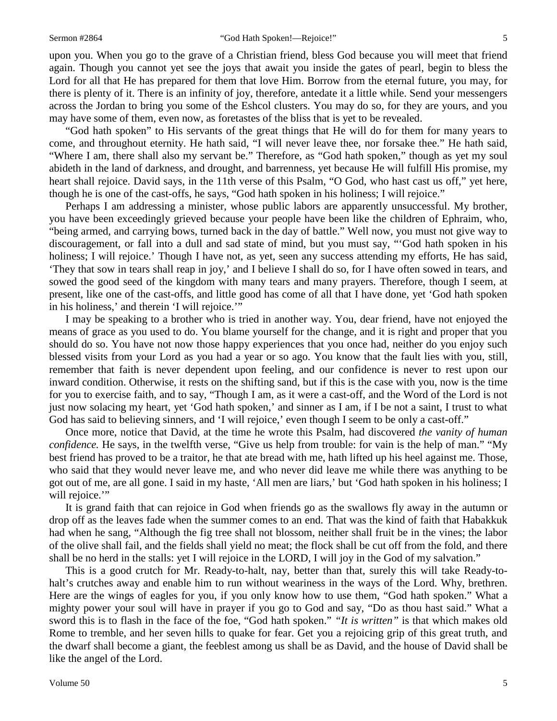upon you. When you go to the grave of a Christian friend, bless God because you will meet that friend again. Though you cannot yet see the joys that await you inside the gates of pearl, begin to bless the Lord for all that He has prepared for them that love Him. Borrow from the eternal future, you may, for there is plenty of it. There is an infinity of joy, therefore, antedate it a little while. Send your messengers across the Jordan to bring you some of the Eshcol clusters. You may do so, for they are yours, and you may have some of them, even now, as foretastes of the bliss that is yet to be revealed.

"God hath spoken" to His servants of the great things that He will do for them for many years to come, and throughout eternity. He hath said, "I will never leave thee, nor forsake thee." He hath said, "Where I am, there shall also my servant be." Therefore, as "God hath spoken," though as yet my soul abideth in the land of darkness, and drought, and barrenness, yet because He will fulfill His promise, my heart shall rejoice. David says, in the 11th verse of this Psalm, "O God, who hast cast us off," yet here, though he is one of the cast-offs, he says, "God hath spoken in his holiness; I will rejoice."

Perhaps I am addressing a minister, whose public labors are apparently unsuccessful. My brother, you have been exceedingly grieved because your people have been like the children of Ephraim, who, "being armed, and carrying bows, turned back in the day of battle." Well now, you must not give way to discouragement, or fall into a dull and sad state of mind, but you must say, "'God hath spoken in his holiness; I will rejoice.' Though I have not, as yet, seen any success attending my efforts, He has said, 'They that sow in tears shall reap in joy,' and I believe I shall do so, for I have often sowed in tears, and sowed the good seed of the kingdom with many tears and many prayers. Therefore, though I seem, at present, like one of the cast-offs, and little good has come of all that I have done, yet 'God hath spoken in his holiness,' and therein 'I will rejoice.'"

I may be speaking to a brother who is tried in another way. You, dear friend, have not enjoyed the means of grace as you used to do. You blame yourself for the change, and it is right and proper that you should do so. You have not now those happy experiences that you once had, neither do you enjoy such blessed visits from your Lord as you had a year or so ago. You know that the fault lies with you, still, remember that faith is never dependent upon feeling, and our confidence is never to rest upon our inward condition. Otherwise, it rests on the shifting sand, but if this is the case with you, now is the time for you to exercise faith, and to say, "Though I am, as it were a cast-off, and the Word of the Lord is not just now solacing my heart, yet 'God hath spoken,' and sinner as I am, if I be not a saint, I trust to what God has said to believing sinners, and 'I will rejoice,' even though I seem to be only a cast-off."

Once more, notice that David, at the time he wrote this Psalm, had discovered *the vanity of human confidence*. He says, in the twelfth verse, "Give us help from trouble: for vain is the help of man." "My best friend has proved to be a traitor, he that ate bread with me, hath lifted up his heel against me. Those, who said that they would never leave me, and who never did leave me while there was anything to be got out of me, are all gone. I said in my haste, 'All men are liars,' but 'God hath spoken in his holiness; I will rejoice."

It is grand faith that can rejoice in God when friends go as the swallows fly away in the autumn or drop off as the leaves fade when the summer comes to an end. That was the kind of faith that Habakkuk had when he sang, "Although the fig tree shall not blossom, neither shall fruit be in the vines; the labor of the olive shall fail, and the fields shall yield no meat; the flock shall be cut off from the fold, and there shall be no herd in the stalls: yet I will rejoice in the LORD, I will joy in the God of my salvation."

This is a good crutch for Mr. Ready-to-halt, nay, better than that, surely this will take Ready-tohalt's crutches away and enable him to run without weariness in the ways of the Lord. Why, brethren. Here are the wings of eagles for you, if you only know how to use them, "God hath spoken." What a mighty power your soul will have in prayer if you go to God and say, "Do as thou hast said." What a sword this is to flash in the face of the foe, "God hath spoken." *"It is written"* is that which makes old Rome to tremble, and her seven hills to quake for fear. Get you a rejoicing grip of this great truth, and the dwarf shall become a giant, the feeblest among us shall be as David, and the house of David shall be like the angel of the Lord.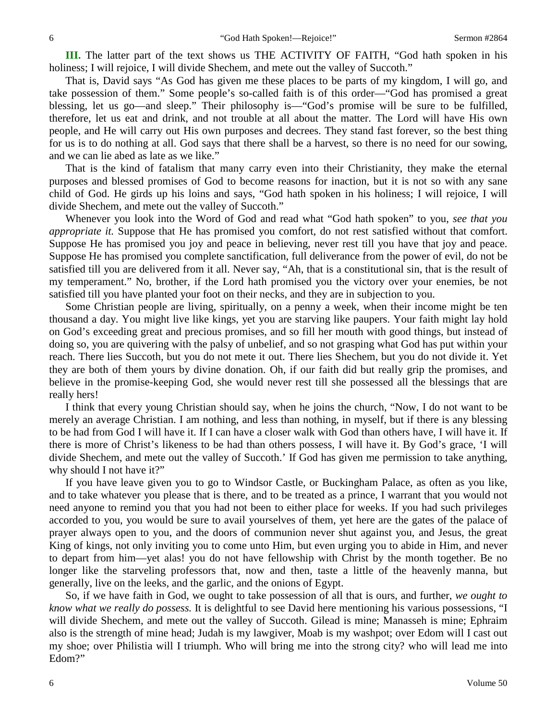**III.** The latter part of the text shows us THE ACTIVITY OF FAITH, "God hath spoken in his holiness; I will rejoice, I will divide Shechem, and mete out the valley of Succoth."

That is, David says "As God has given me these places to be parts of my kingdom, I will go, and take possession of them." Some people's so-called faith is of this order—"God has promised a great blessing, let us go—and sleep." Their philosophy is—"God's promise will be sure to be fulfilled, therefore, let us eat and drink, and not trouble at all about the matter. The Lord will have His own people, and He will carry out His own purposes and decrees. They stand fast forever, so the best thing for us is to do nothing at all. God says that there shall be a harvest, so there is no need for our sowing, and we can lie abed as late as we like."

That is the kind of fatalism that many carry even into their Christianity, they make the eternal purposes and blessed promises of God to become reasons for inaction, but it is not so with any sane child of God. He girds up his loins and says, "God hath spoken in his holiness; I will rejoice, I will divide Shechem, and mete out the valley of Succoth."

Whenever you look into the Word of God and read what "God hath spoken" to you, *see that you appropriate it.* Suppose that He has promised you comfort, do not rest satisfied without that comfort. Suppose He has promised you joy and peace in believing, never rest till you have that joy and peace. Suppose He has promised you complete sanctification, full deliverance from the power of evil, do not be satisfied till you are delivered from it all. Never say, "Ah, that is a constitutional sin, that is the result of my temperament." No, brother, if the Lord hath promised you the victory over your enemies, be not satisfied till you have planted your foot on their necks, and they are in subjection to you.

Some Christian people are living, spiritually, on a penny a week, when their income might be ten thousand a day. You might live like kings, yet you are starving like paupers. Your faith might lay hold on God's exceeding great and precious promises, and so fill her mouth with good things, but instead of doing so, you are quivering with the palsy of unbelief, and so not grasping what God has put within your reach. There lies Succoth, but you do not mete it out. There lies Shechem, but you do not divide it. Yet they are both of them yours by divine donation. Oh, if our faith did but really grip the promises, and believe in the promise-keeping God, she would never rest till she possessed all the blessings that are really hers!

I think that every young Christian should say, when he joins the church, "Now, I do not want to be merely an average Christian. I am nothing, and less than nothing, in myself, but if there is any blessing to be had from God I will have it. If I can have a closer walk with God than others have, I will have it. If there is more of Christ's likeness to be had than others possess, I will have it. By God's grace, 'I will divide Shechem, and mete out the valley of Succoth.' If God has given me permission to take anything, why should I not have it?"

If you have leave given you to go to Windsor Castle, or Buckingham Palace, as often as you like, and to take whatever you please that is there, and to be treated as a prince, I warrant that you would not need anyone to remind you that you had not been to either place for weeks. If you had such privileges accorded to you, you would be sure to avail yourselves of them, yet here are the gates of the palace of prayer always open to you, and the doors of communion never shut against you, and Jesus, the great King of kings, not only inviting you to come unto Him, but even urging you to abide in Him, and never to depart from him—yet alas! you do not have fellowship with Christ by the month together. Be no longer like the starveling professors that, now and then, taste a little of the heavenly manna, but generally, live on the leeks, and the garlic, and the onions of Egypt.

So, if we have faith in God, we ought to take possession of all that is ours, and further, *we ought to know what we really do possess.* It is delightful to see David here mentioning his various possessions, "I will divide Shechem, and mete out the valley of Succoth. Gilead is mine; Manasseh is mine; Ephraim also is the strength of mine head; Judah is my lawgiver, Moab is my washpot; over Edom will I cast out my shoe; over Philistia will I triumph. Who will bring me into the strong city? who will lead me into Edom?"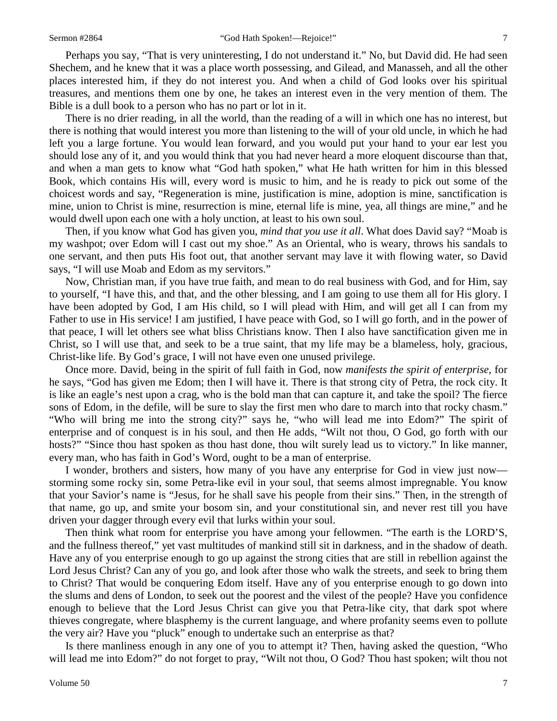Perhaps you say, "That is very uninteresting, I do not understand it." No, but David did. He had seen Shechem, and he knew that it was a place worth possessing, and Gilead, and Manasseh, and all the other places interested him, if they do not interest you. And when a child of God looks over his spiritual treasures, and mentions them one by one, he takes an interest even in the very mention of them. The Bible is a dull book to a person who has no part or lot in it.

There is no drier reading, in all the world, than the reading of a will in which one has no interest, but there is nothing that would interest you more than listening to the will of your old uncle, in which he had left you a large fortune. You would lean forward, and you would put your hand to your ear lest you should lose any of it, and you would think that you had never heard a more eloquent discourse than that, and when a man gets to know what "God hath spoken," what He hath written for him in this blessed Book, which contains His will, every word is music to him, and he is ready to pick out some of the choicest words and say, "Regeneration is mine, justification is mine, adoption is mine, sanctification is mine, union to Christ is mine, resurrection is mine, eternal life is mine, yea, all things are mine," and he would dwell upon each one with a holy unction, at least to his own soul.

Then, if you know what God has given you, *mind that you use it all*. What does David say? "Moab is my washpot; over Edom will I cast out my shoe." As an Oriental, who is weary, throws his sandals to one servant, and then puts His foot out, that another servant may lave it with flowing water, so David says, "I will use Moab and Edom as my servitors."

Now, Christian man, if you have true faith, and mean to do real business with God, and for Him, say to yourself, "I have this, and that, and the other blessing, and I am going to use them all for His glory. I have been adopted by God, I am His child, so I will plead with Him, and will get all I can from my Father to use in His service! I am justified, I have peace with God, so I will go forth, and in the power of that peace, I will let others see what bliss Christians know. Then I also have sanctification given me in Christ, so I will use that, and seek to be a true saint, that my life may be a blameless, holy, gracious, Christ-like life. By God's grace, I will not have even one unused privilege.

Once more. David, being in the spirit of full faith in God, now *manifests the spirit of enterprise,* for he says, "God has given me Edom; then I will have it. There is that strong city of Petra, the rock city. It is like an eagle's nest upon a crag, who is the bold man that can capture it, and take the spoil? The fierce sons of Edom, in the defile, will be sure to slay the first men who dare to march into that rocky chasm." "Who will bring me into the strong city?" says he, "who will lead me into Edom?" The spirit of enterprise and of conquest is in his soul, and then He adds, "Wilt not thou, O God, go forth with our hosts?" "Since thou hast spoken as thou hast done, thou wilt surely lead us to victory." In like manner, every man, who has faith in God's Word, ought to be a man of enterprise.

I wonder, brothers and sisters, how many of you have any enterprise for God in view just now storming some rocky sin, some Petra-like evil in your soul, that seems almost impregnable. You know that your Savior's name is "Jesus, for he shall save his people from their sins." Then, in the strength of that name, go up, and smite your bosom sin, and your constitutional sin, and never rest till you have driven your dagger through every evil that lurks within your soul.

Then think what room for enterprise you have among your fellowmen. "The earth is the LORD'S, and the fullness thereof," yet vast multitudes of mankind still sit in darkness, and in the shadow of death. Have any of you enterprise enough to go up against the strong cities that are still in rebellion against the Lord Jesus Christ? Can any of you go, and look after those who walk the streets, and seek to bring them to Christ? That would be conquering Edom itself. Have any of you enterprise enough to go down into the slums and dens of London, to seek out the poorest and the vilest of the people? Have you confidence enough to believe that the Lord Jesus Christ can give you that Petra-like city, that dark spot where thieves congregate, where blasphemy is the current language, and where profanity seems even to pollute the very air? Have you "pluck" enough to undertake such an enterprise as that?

Is there manliness enough in any one of you to attempt it? Then, having asked the question, "Who will lead me into Edom?" do not forget to pray, "Wilt not thou, O God? Thou hast spoken; wilt thou not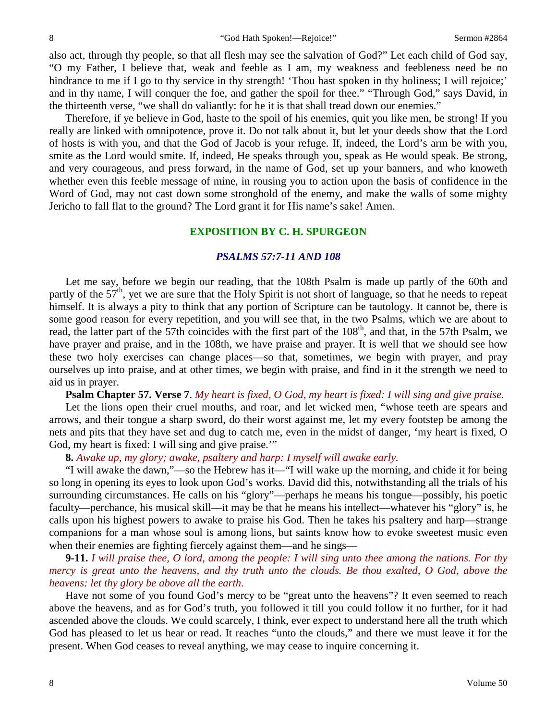also act, through thy people, so that all flesh may see the salvation of God?" Let each child of God say, "O my Father, I believe that, weak and feeble as I am, my weakness and feebleness need be no hindrance to me if I go to thy service in thy strength! 'Thou hast spoken in thy holiness; I will rejoice;' and in thy name, I will conquer the foe, and gather the spoil for thee." "Through God," says David, in the thirteenth verse, "we shall do valiantly: for he it is that shall tread down our enemies."

Therefore, if ye believe in God, haste to the spoil of his enemies, quit you like men, be strong! If you really are linked with omnipotence, prove it. Do not talk about it, but let your deeds show that the Lord of hosts is with you, and that the God of Jacob is your refuge. If, indeed, the Lord's arm be with you, smite as the Lord would smite. If, indeed, He speaks through you, speak as He would speak. Be strong, and very courageous, and press forward, in the name of God, set up your banners, and who knoweth whether even this feeble message of mine, in rousing you to action upon the basis of confidence in the Word of God, may not cast down some stronghold of the enemy, and make the walls of some mighty Jericho to fall flat to the ground? The Lord grant it for His name's sake! Amen.

#### **EXPOSITION BY C. H. SPURGEON**

#### *PSALMS 57:7-11 AND 108*

Let me say, before we begin our reading, that the 108th Psalm is made up partly of the 60th and partly of the  $57<sup>th</sup>$ , yet we are sure that the Holy Spirit is not short of language, so that he needs to repeat himself. It is always a pity to think that any portion of Scripture can be tautology. It cannot be, there is some good reason for every repetition, and you will see that, in the two Psalms, which we are about to read, the latter part of the 57th coincides with the first part of the 108<sup>th</sup>, and that, in the 57th Psalm, we have prayer and praise, and in the 108th, we have praise and prayer. It is well that we should see how these two holy exercises can change places—so that, sometimes, we begin with prayer, and pray ourselves up into praise, and at other times, we begin with praise, and find in it the strength we need to aid us in prayer.

**Psalm Chapter 57. Verse 7**. *My heart is fixed, O God, my heart is fixed: I will sing and give praise.*

Let the lions open their cruel mouths, and roar, and let wicked men, "whose teeth are spears and arrows, and their tongue a sharp sword, do their worst against me, let my every footstep be among the nets and pits that they have set and dug to catch me, even in the midst of danger, 'my heart is fixed, O God, my heart is fixed: I will sing and give praise."

**8.** *Awake up, my glory; awake, psaltery and harp: I myself will awake early.*

"I will awake the dawn,"—so the Hebrew has it—"I will wake up the morning, and chide it for being so long in opening its eyes to look upon God's works. David did this, notwithstanding all the trials of his surrounding circumstances. He calls on his "glory"—perhaps he means his tongue—possibly, his poetic faculty—perchance, his musical skill—it may be that he means his intellect—whatever his "glory" is, he calls upon his highest powers to awake to praise his God. Then he takes his psaltery and harp—strange companions for a man whose soul is among lions, but saints know how to evoke sweetest music even when their enemies are fighting fiercely against them—and he sings—

**9-11.** *I will praise thee, O lord, among the people: I will sing unto thee among the nations. For thy mercy is great unto the heavens, and thy truth unto the clouds. Be thou exalted, O God, above the heavens: let thy glory be above all the earth.*

Have not some of you found God's mercy to be "great unto the heavens"? It even seemed to reach above the heavens, and as for God's truth, you followed it till you could follow it no further, for it had ascended above the clouds. We could scarcely, I think, ever expect to understand here all the truth which God has pleased to let us hear or read. It reaches "unto the clouds," and there we must leave it for the present. When God ceases to reveal anything, we may cease to inquire concerning it.